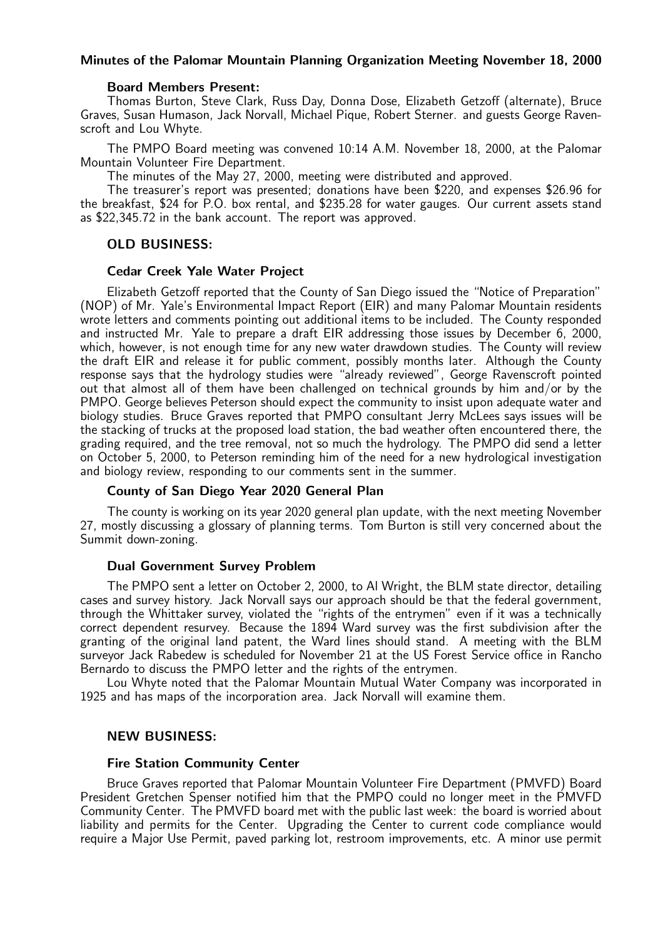#### Minutes of the Palomar Mountain Planning Organization Meeting November 18, 2000

#### Board Members Present:

Thomas Burton, Steve Clark, Russ Day, Donna Dose, Elizabeth Getzoff (alternate), Bruce Graves, Susan Humason, Jack Norvall, Michael Pique, Robert Sterner. and guests George Ravenscroft and Lou Whyte.

The PMPO Board meeting was convened 10:14 A.M. November 18, 2000, at the Palomar Mountain Volunteer Fire Department.

The minutes of the May 27, 2000, meeting were distributed and approved.

The treasurer's report was presented; donations have been \$220, and expenses \$26.96 for the breakfast, \$24 for P.O. box rental, and \$235.28 for water gauges. Our current assets stand as \$22,345.72 in the bank account. The report was approved.

# OLD BUSINESS:

#### Cedar Creek Yale Water Project

Elizabeth Getzoff reported that the County of San Diego issued the "Notice of Preparation" (NOP) of Mr. Yale's Environmental Impact Report (EIR) and many Palomar Mountain residents wrote letters and comments pointing out additional items to be included. The County responded and instructed Mr. Yale to prepare a draft EIR addressing those issues by December 6, 2000, which, however, is not enough time for any new water drawdown studies. The County will review the draft EIR and release it for public comment, possibly months later. Although the County response says that the hydrology studies were "already reviewed", George Ravenscroft pointed out that almost all of them have been challenged on technical grounds by him and/or by the PMPO. George believes Peterson should expect the community to insist upon adequate water and biology studies. Bruce Graves reported that PMPO consultant Jerry McLees says issues will be the stacking of trucks at the proposed load station, the bad weather often encountered there, the grading required, and the tree removal, not so much the hydrology. The PMPO did send a letter on October 5, 2000, to Peterson reminding him of the need for a new hydrological investigation and biology review, responding to our comments sent in the summer.

## County of San Diego Year 2020 General Plan

The county is working on its year 2020 general plan update, with the next meeting November 27, mostly discussing a glossary of planning terms. Tom Burton is still very concerned about the Summit down-zoning.

#### Dual Government Survey Problem

The PMPO sent a letter on October 2, 2000, to Al Wright, the BLM state director, detailing cases and survey history. Jack Norvall says our approach should be that the federal government, through the Whittaker survey, violated the "rights of the entrymen" even if it was a technically correct dependent resurvey. Because the 1894 Ward survey was the first subdivision after the granting of the original land patent, the Ward lines should stand. A meeting with the BLM surveyor Jack Rabedew is scheduled for November 21 at the US Forest Service office in Rancho Bernardo to discuss the PMPO letter and the rights of the entrymen.

Lou Whyte noted that the Palomar Mountain Mutual Water Company was incorporated in 1925 and has maps of the incorporation area. Jack Norvall will examine them.

#### NEW BUSINESS:

#### Fire Station Community Center

Bruce Graves reported that Palomar Mountain Volunteer Fire Department (PMVFD) Board President Gretchen Spenser notified him that the PMPO could no longer meet in the PMVFD Community Center. The PMVFD board met with the public last week: the board is worried about liability and permits for the Center. Upgrading the Center to current code compliance would require a Major Use Permit, paved parking lot, restroom improvements, etc. A minor use permit